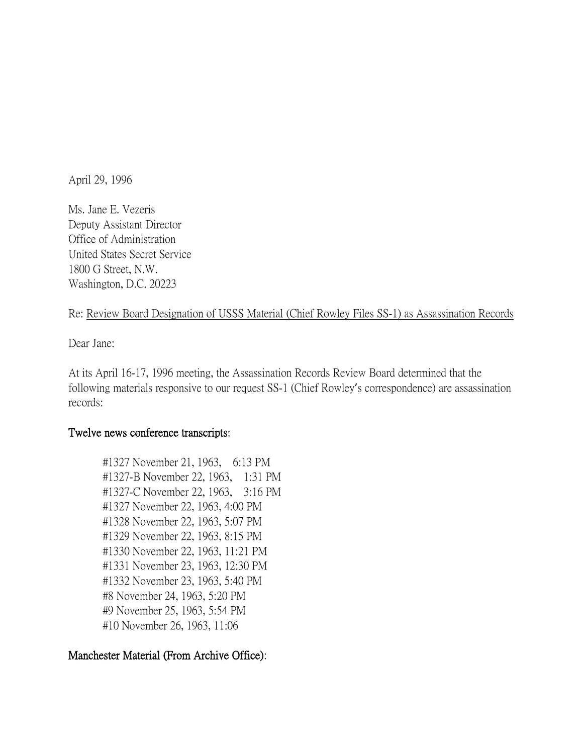April 29, 1996

Ms. Jane E. Vezeris Deputy Assistant Director Office of Administration United States Secret Service 1800 G Street, N.W. Washington, D.C. 20223

## Re: Review Board Designation of USSS Material (Chief Rowley Files SS-1) as Assassination Records

Dear Jane:

At its April 16-17, 1996 meeting, the Assassination Records Review Board determined that the following materials responsive to our request SS-1 (Chief Rowley's correspondence) are assassination records:

# Twelve news conference transcripts:

#1327 November 21, 1963, 6:13 PM #1327-B November 22, 1963, 1:31 PM #1327-C November 22, 1963, 3:16 PM #1327 November 22, 1963, 4:00 PM #1328 November 22, 1963, 5:07 PM #1329 November 22, 1963, 8:15 PM #1330 November 22, 1963, 11:21 PM #1331 November 23, 1963, 12:30 PM #1332 November 23, 1963, 5:40 PM #8 November 24, 1963, 5:20 PM #9 November 25, 1963, 5:54 PM #10 November 26, 1963, 11:06

# Manchester Material (From Archive Office):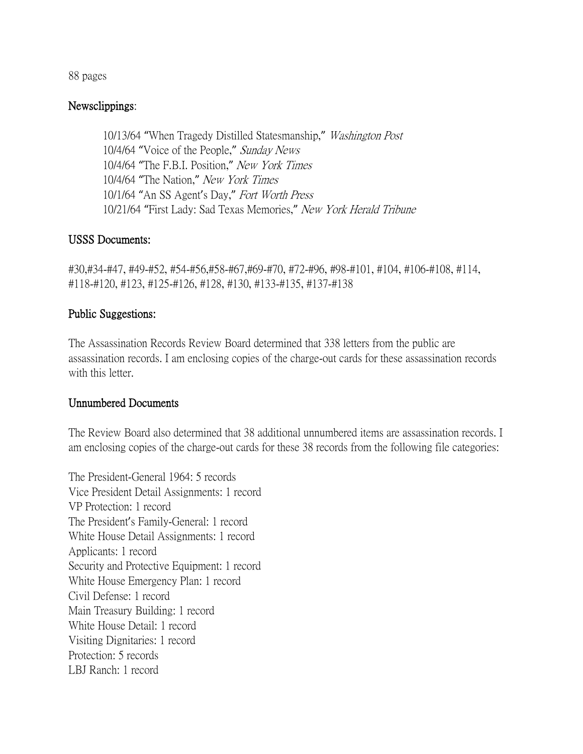88 pages

#### Newsclippings:

10/13/64 "When Tragedy Distilled Statesmanship," Washington Post 10/4/64 "Voice of the People," Sunday News 10/4/64 "The F.B.I. Position," New York Times 10/4/64 "The Nation," New York Times 10/1/64 "An SS Agent's Day," Fort Worth Press 10/21/64 "First Lady: Sad Texas Memories," New York Herald Tribune

### USSS Documents:

#30,#34-#47, #49-#52, #54-#56,#58-#67,#69-#70, #72-#96, #98-#101, #104, #106-#108, #114, #118-#120, #123, #125-#126, #128, #130, #133-#135, #137-#138

## Public Suggestions:

The Assassination Records Review Board determined that 338 letters from the public are assassination records. I am enclosing copies of the charge-out cards for these assassination records with this letter.

### Unnumbered Documents

The Review Board also determined that 38 additional unnumbered items are assassination records. I am enclosing copies of the charge-out cards for these 38 records from the following file categories:

The President-General 1964: 5 records Vice President Detail Assignments: 1 record VP Protection: 1 record The President's Family-General: 1 record White House Detail Assignments: 1 record Applicants: 1 record Security and Protective Equipment: 1 record White House Emergency Plan: 1 record Civil Defense: 1 record Main Treasury Building: 1 record White House Detail: 1 record Visiting Dignitaries: 1 record Protection: 5 records LBJ Ranch: 1 record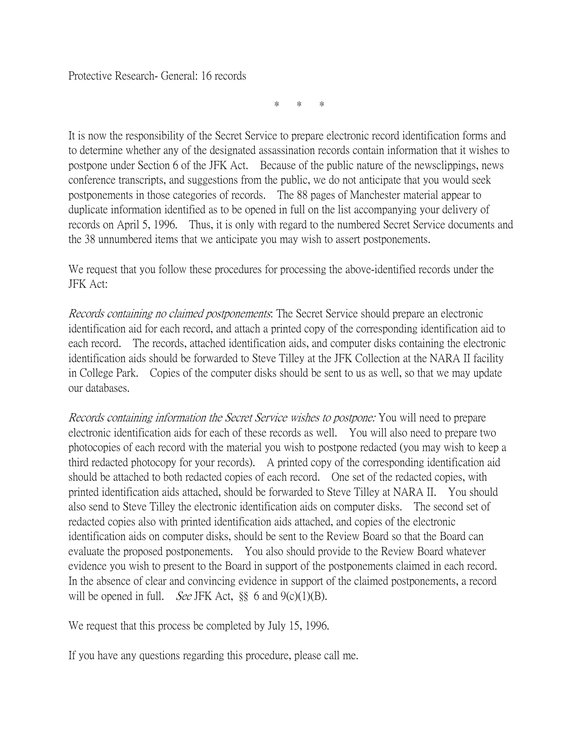\* \* \*

It is now the responsibility of the Secret Service to prepare electronic record identification forms and to determine whether any of the designated assassination records contain information that it wishes to postpone under Section 6 of the JFK Act. Because of the public nature of the newsclippings, news conference transcripts, and suggestions from the public, we do not anticipate that you would seek postponements in those categories of records. The 88 pages of Manchester material appear to duplicate information identified as to be opened in full on the list accompanying your delivery of records on April 5, 1996. Thus, it is only with regard to the numbered Secret Service documents and the 38 unnumbered items that we anticipate you may wish to assert postponements.

We request that you follow these procedures for processing the above-identified records under the JFK Act:

Records containing no claimed postponements: The Secret Service should prepare an electronic identification aid for each record, and attach a printed copy of the corresponding identification aid to each record. The records, attached identification aids, and computer disks containing the electronic identification aids should be forwarded to Steve Tilley at the JFK Collection at the NARA II facility in College Park. Copies of the computer disks should be sent to us as well, so that we may update our databases.

Records containing information the Secret Service wishes to postpone: You will need to prepare electronic identification aids for each of these records as well. You will also need to prepare two photocopies of each record with the material you wish to postpone redacted (you may wish to keep a third redacted photocopy for your records). A printed copy of the corresponding identification aid should be attached to both redacted copies of each record. One set of the redacted copies, with printed identification aids attached, should be forwarded to Steve Tilley at NARA II. You should also send to Steve Tilley the electronic identification aids on computer disks. The second set of redacted copies also with printed identification aids attached, and copies of the electronic identification aids on computer disks, should be sent to the Review Board so that the Board can evaluate the proposed postponements. You also should provide to the Review Board whatever evidence you wish to present to the Board in support of the postponements claimed in each record. In the absence of clear and convincing evidence in support of the claimed postponements, a record will be opened in full. *See* JFK Act,  $\S$  6 and 9(c)(1)(B).

We request that this process be completed by July 15, 1996.

If you have any questions regarding this procedure, please call me.